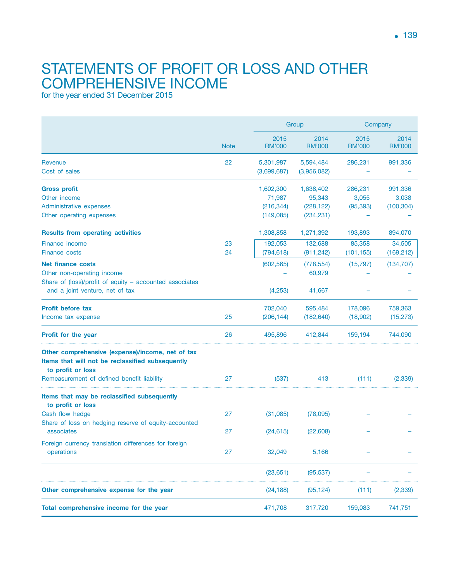## STATEMENTS OF PROFIT OR LOSS AND OTHER comprehensive income

for the year ended 31 December 2015

|                                                                                                                                                                         | <b>Note</b> | Group                                          |                                                 | Company                       |                                |
|-------------------------------------------------------------------------------------------------------------------------------------------------------------------------|-------------|------------------------------------------------|-------------------------------------------------|-------------------------------|--------------------------------|
|                                                                                                                                                                         |             | 2015<br><b>RM'000</b>                          | 2014<br><b>RM'000</b>                           | 2015<br><b>RM'000</b>         | 2014<br><b>RM'000</b>          |
| Revenue<br>Cost of sales                                                                                                                                                | 22          | 5,301,987<br>(3,699,687)                       | 5,594,484<br>(3,956,082)                        | 286,231                       | 991,336                        |
| <b>Gross profit</b><br>Other income<br>Administrative expenses<br>Other operating expenses                                                                              |             | 1,602,300<br>71,987<br>(216, 344)<br>(149,085) | 1,638,402<br>95,343<br>(228, 122)<br>(234, 231) | 286,231<br>3,055<br>(95, 393) | 991,336<br>3,038<br>(100, 304) |
| <b>Results from operating activities</b>                                                                                                                                |             | 1,308,858                                      | 1,271,392                                       | 193,893                       | 894,070                        |
| <b>Finance income</b><br><b>Finance costs</b>                                                                                                                           | 23<br>24    | 192,053<br>(794, 618)                          | 132,688<br>(911, 242)                           | 85,358<br>(101, 155)          | 34,505<br>(169, 212)           |
| <b>Net finance costs</b><br>Other non-operating income<br>Share of (loss)/profit of equity - accounted associates                                                       |             | (602, 565)                                     | (778, 554)<br>60,979                            | (15, 797)                     | (134, 707)                     |
| and a joint venture, net of tax                                                                                                                                         |             | (4, 253)                                       | 41,667                                          |                               |                                |
| <b>Profit before tax</b><br>Income tax expense                                                                                                                          | 25          | 702,040<br>(206, 144)                          | 595,484<br>(182, 640)                           | 178,096<br>(18,902)           | 759,363<br>(15, 273)           |
| Profit for the year                                                                                                                                                     | 26          | 495,896                                        | 412,844                                         | 159,194                       | 744,090                        |
| Other comprehensive (expense)/income, net of tax<br>Items that will not be reclassified subsequently<br>to profit or loss<br>Remeasurement of defined benefit liability | 27          | (537)                                          | 413                                             | (111)                         | (2, 339)                       |
| Items that may be reclassified subsequently<br>to profit or loss                                                                                                        |             |                                                |                                                 |                               |                                |
| Cash flow hedge<br>Share of loss on hedging reserve of equity-accounted                                                                                                 | 27          | (31,085)                                       | (78,095)                                        |                               |                                |
| associates                                                                                                                                                              | 27          | (24, 615)                                      | (22,608)                                        |                               |                                |
| Foreign currency translation differences for foreign<br>operations                                                                                                      | 27          | 32,049                                         | 5,166                                           |                               |                                |
|                                                                                                                                                                         |             | (23, 651)                                      | (95, 537)                                       |                               |                                |
| Other comprehensive expense for the year                                                                                                                                |             | (24, 188)                                      | (95, 124)                                       | (111)                         | (2, 339)                       |
| Total comprehensive income for the year                                                                                                                                 |             | 471,708                                        | 317,720                                         | 159,083                       | 741,751                        |